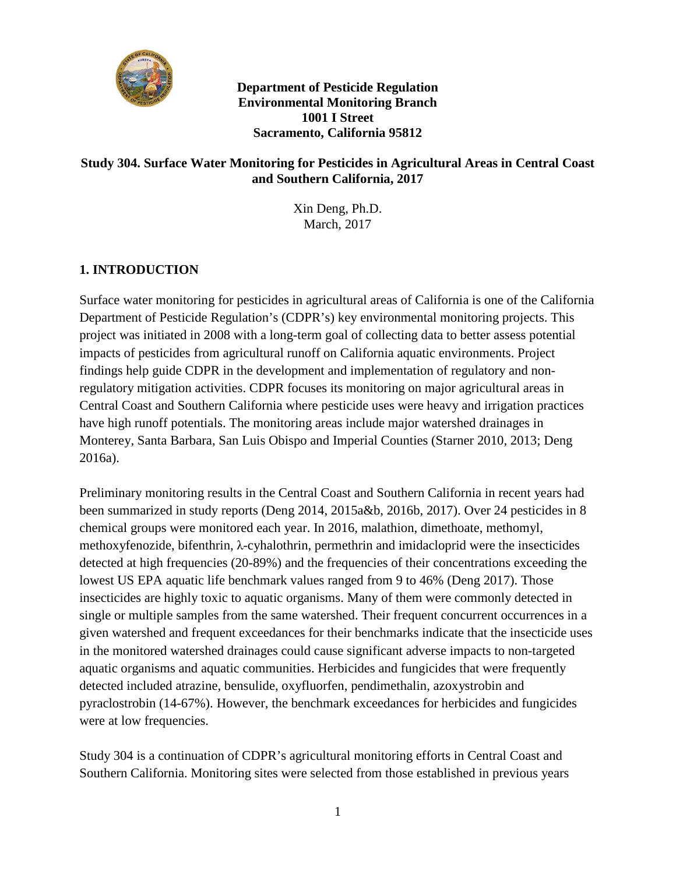

**Department of Pesticide Regulation Environmental Monitoring Branch 1001 I Street Sacramento, California 95812** 

# **Study 304. Surface Water Monitoring for Pesticides in Agricultural Areas in Central Coast and Southern California, 2017**

Xin Deng, Ph.D. March, 2017

# **1. INTRODUCTION**

 Department of Pesticide Regulation's (CDPR's) key environmental monitoring projects. This project was initiated in 2008 with a long-term goal of collecting data to better assess potential have high runoff potentials. The monitoring areas include major watershed drainages in Surface water monitoring for pesticides in agricultural areas of California is one of the California impacts of pesticides from agricultural runoff on California aquatic environments. Project findings help guide CDPR in the development and implementation of regulatory and nonregulatory mitigation activities. CDPR focuses its monitoring on major agricultural areas in Central Coast and Southern California where pesticide uses were heavy and irrigation practices Monterey, Santa Barbara, San Luis Obispo and Imperial Counties (Starner 2010, 2013; Deng 2016a).

 Preliminary monitoring results in the Central Coast and Southern California in recent years had single or multiple samples from the same watershed. Their frequent concurrent occurrences in a in the monitored watershed drainages could cause significant adverse impacts to non-targeted been summarized in study reports (Deng 2014, 2015a&b, 2016b, 2017). Over 24 pesticides in 8 chemical groups were monitored each year. In 2016, malathion, dimethoate, methomyl, methoxyfenozide, bifenthrin, λ-cyhalothrin, permethrin and imidacloprid were the insecticides detected at high frequencies (20-89%) and the frequencies of their concentrations exceeding the lowest US EPA aquatic life benchmark values ranged from 9 to 46% (Deng 2017). Those insecticides are highly toxic to aquatic organisms. Many of them were commonly detected in given watershed and frequent exceedances for their benchmarks indicate that the insecticide uses aquatic organisms and aquatic communities. Herbicides and fungicides that were frequently detected included atrazine, bensulide, oxyfluorfen, pendimethalin, azoxystrobin and pyraclostrobin (14-67%). However, the benchmark exceedances for herbicides and fungicides were at low frequencies.

 Southern California. Monitoring sites were selected from those established in previous years Study 304 is a continuation of CDPR's agricultural monitoring efforts in Central Coast and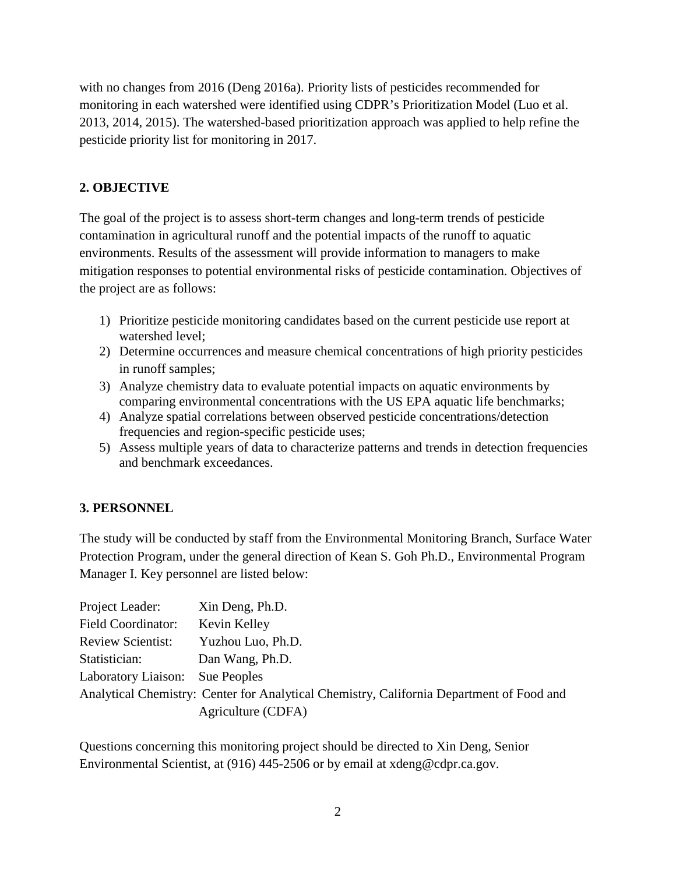with no changes from 2016 (Deng 2016a). Priority lists of pesticides recommended for monitoring in each watershed were identified using CDPR's Prioritization Model (Luo et al. 2013, 2014, 2015). The watershed-based prioritization approach was applied to help refine the pesticide priority list for monitoring in 2017.

# **2. OBJECTIVE**

The goal of the project is to assess short-term changes and long-term trends of pesticide contamination in agricultural runoff and the potential impacts of the runoff to aquatic environments. Results of the assessment will provide information to managers to make mitigation responses to potential environmental risks of pesticide contamination. Objectives of the project are as follows:

- 1) Prioritize pesticide monitoring candidates based on the current pesticide use report at watershed level;
- 2) Determine occurrences and measure chemical concentrations of high priority pesticides in runoff samples;
- 3) Analyze chemistry data to evaluate potential impacts on aquatic environments by comparing environmental concentrations with the US EPA aquatic life benchmarks;
- 4) Analyze spatial correlations between observed pesticide concentrations/detection frequencies and region-specific pesticide uses;
- 5) Assess multiple years of data to characterize patterns and trends in detection frequencies and benchmark exceedances.

# **3. PERSONNEL**

The study will be conducted by staff from the Environmental Monitoring Branch, Surface Water Protection Program, under the general direction of Kean S. Goh Ph.D., Environmental Program Manager I. Key personnel are listed below:

| Project Leader:                 | Xin Deng, Ph.D.                                                                          |
|---------------------------------|------------------------------------------------------------------------------------------|
| <b>Field Coordinator:</b>       | Kevin Kelley                                                                             |
| <b>Review Scientist:</b>        | Yuzhou Luo, Ph.D.                                                                        |
| Statistician:                   | Dan Wang, Ph.D.                                                                          |
| Laboratory Liaison: Sue Peoples |                                                                                          |
|                                 | Analytical Chemistry: Center for Analytical Chemistry, California Department of Food and |
|                                 | Agriculture (CDFA)                                                                       |

Questions concerning this monitoring project should be directed to Xin Deng, Senior Environmental Scientist, at (916) 445-2506 or by email at xdeng@cdpr.ca.gov.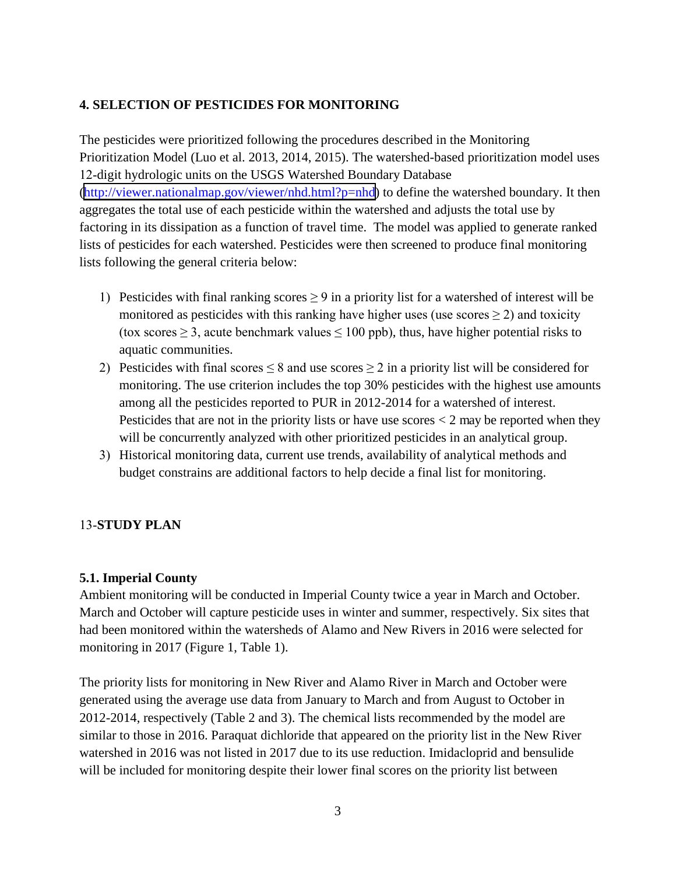# **4. SELECTION OF PESTICIDES FOR MONITORING**

The pesticides were prioritized following the procedures described in the Monitoring Prioritization Model (Luo et al. 2013, 2014, 2015). The watershed-based prioritization model uses 12-digit hydrologic units on the USGS Watershed Boundary Database (http://viewer.nationalmap.gov/viewer/nhd.html?p=nhd) to define the watershed boundary. It then aggregates the total use of each pesticide within the watershed and adjusts the total use by factoring in its dissipation as a function of travel time. The model was applied to generate ranked lists of pesticides for each watershed. Pesticides were then screened to produce final monitoring lists following the general criteria below:

- 1) Pesticides with final ranking scores  $\geq$  9 in a priority list for a watershed of interest will be monitored as pesticides with this ranking have higher uses (use scores  $\geq$  2) and toxicity (tox scores  $\geq 3$ , acute benchmark values  $\leq 100$  ppb), thus, have higher potential risks to aquatic communities.
- 2) Pesticides with final scores  $\leq 8$  and use scores  $\geq 2$  in a priority list will be considered for monitoring. The use criterion includes the top 30% pesticides with the highest use amounts among all the pesticides reported to PUR in 2012-2014 for a watershed of interest. Pesticides that are not in the priority lists or have use scores  $\lt 2$  may be reported when they will be concurrently analyzed with other prioritized pesticides in an analytical group.
- 3) Historical monitoring data, current use trends, availability of analytical methods and budget constrains are additional factors to help decide a final list for monitoring.

# 13-**STUDY PLAN**

# **5.1. Imperial County**

Ambient monitoring will be conducted in Imperial County twice a year in March and October. March and October will capture pesticide uses in winter and summer, respectively. Six sites that had been monitored within the watersheds of Alamo and New Rivers in 2016 were selected for monitoring in 2017 (Figure 1, Table 1).

The priority lists for monitoring in New River and Alamo River in March and October were generated using the average use data from January to March and from August to October in 2012-2014, respectively (Table 2 and 3). The chemical lists recommended by the model are similar to those in 2016. Paraquat dichloride that appeared on the priority list in the New River watershed in 2016 was not listed in 2017 due to its use reduction. Imidacloprid and bensulide will be included for monitoring despite their lower final scores on the priority list between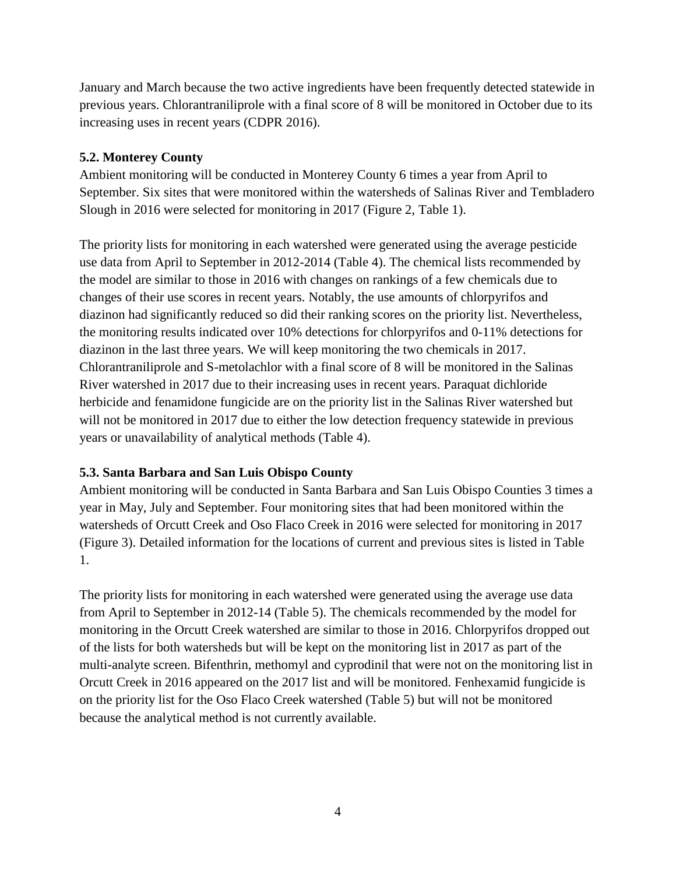January and March because the two active ingredients have been frequently detected statewide in previous years. Chlorantraniliprole with a final score of 8 will be monitored in October due to its increasing uses in recent years (CDPR 2016).

### **5.2. Monterey County**

Ambient monitoring will be conducted in Monterey County 6 times a year from April to September. Six sites that were monitored within the watersheds of Salinas River and Tembladero Slough in 2016 were selected for monitoring in 2017 (Figure 2, Table 1).

 changes of their use scores in recent years. Notably, the use amounts of chlorpyrifos and The priority lists for monitoring in each watershed were generated using the average pesticide use data from April to September in 2012-2014 (Table 4). The chemical lists recommended by the model are similar to those in 2016 with changes on rankings of a few chemicals due to diazinon had significantly reduced so did their ranking scores on the priority list. Nevertheless, the monitoring results indicated over 10% detections for chlorpyrifos and 0-11% detections for diazinon in the last three years. We will keep monitoring the two chemicals in 2017. Chlorantraniliprole and S-metolachlor with a final score of 8 will be monitored in the Salinas River watershed in 2017 due to their increasing uses in recent years. Paraquat dichloride herbicide and fenamidone fungicide are on the priority list in the Salinas River watershed but will not be monitored in 2017 due to either the low detection frequency statewide in previous years or unavailability of analytical methods (Table 4).

# **5.3. Santa Barbara and San Luis Obispo County**

Ambient monitoring will be conducted in Santa Barbara and San Luis Obispo Counties 3 times a year in May, July and September. Four monitoring sites that had been monitored within the watersheds of Orcutt Creek and Oso Flaco Creek in 2016 were selected for monitoring in 2017 (Figure 3). Detailed information for the locations of current and previous sites is listed in Table 1.

 on the priority list for the Oso Flaco Creek watershed (Table 5) but will not be monitored The priority lists for monitoring in each watershed were generated using the average use data from April to September in 2012-14 (Table 5). The chemicals recommended by the model for monitoring in the Orcutt Creek watershed are similar to those in 2016. Chlorpyrifos dropped out of the lists for both watersheds but will be kept on the monitoring list in 2017 as part of the multi-analyte screen. Bifenthrin, methomyl and cyprodinil that were not on the monitoring list in Orcutt Creek in 2016 appeared on the 2017 list and will be monitored. Fenhexamid fungicide is because the analytical method is not currently available.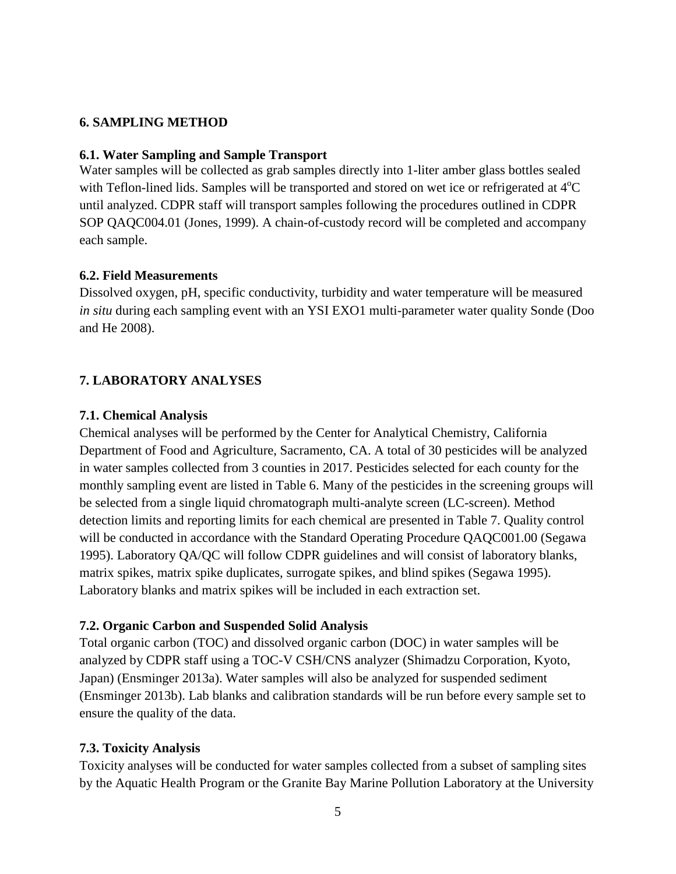### **6. SAMPLING METHOD**

#### **6.1. Water Sampling and Sample Transport**

Water samples will be collected as grab samples directly into 1-liter amber glass bottles sealed with Teflon-lined lids. Samples will be transported and stored on wet ice or refrigerated at  $4^{\circ}C$ until analyzed. CDPR staff will transport samples following the procedures outlined in CDPR SOP QAQC004.01 (Jones, 1999). A chain-of-custody record will be completed and accompany each sample.

#### **6.2. Field Measurements**

Dissolved oxygen, pH, specific conductivity, turbidity and water temperature will be measured *in situ* during each sampling event with an YSI EXO1 multi-parameter water quality Sonde (Doo and He 2008).

#### **7. LABORATORY ANALYSES**

#### **7.1. Chemical Analysis**

Chemical analyses will be performed by the Center for Analytical Chemistry, California Department of Food and Agriculture, Sacramento, CA. A total of 30 pesticides will be analyzed in water samples collected from 3 counties in 2017. Pesticides selected for each county for the monthly sampling event are listed in Table 6. Many of the pesticides in the screening groups will be selected from a single liquid chromatograph multi-analyte screen (LC-screen). Method detection limits and reporting limits for each chemical are presented in Table 7. Quality control will be conducted in accordance with the Standard Operating Procedure QAQC001.00 (Segawa 1995). Laboratory QA/QC will follow CDPR guidelines and will consist of laboratory blanks, matrix spikes, matrix spike duplicates, surrogate spikes, and blind spikes (Segawa 1995). Laboratory blanks and matrix spikes will be included in each extraction set.

#### **7.2. Organic Carbon and Suspended Solid Analysis**

Total organic carbon (TOC) and dissolved organic carbon (DOC) in water samples will be analyzed by CDPR staff using a TOC-V CSH/CNS analyzer (Shimadzu Corporation, Kyoto, Japan) (Ensminger 2013a). Water samples will also be analyzed for suspended sediment (Ensminger 2013b). Lab blanks and calibration standards will be run before every sample set to ensure the quality of the data.

#### **7.3. Toxicity Analysis**

Toxicity analyses will be conducted for water samples collected from a subset of sampling sites by the Aquatic Health Program or the Granite Bay Marine Pollution Laboratory at the University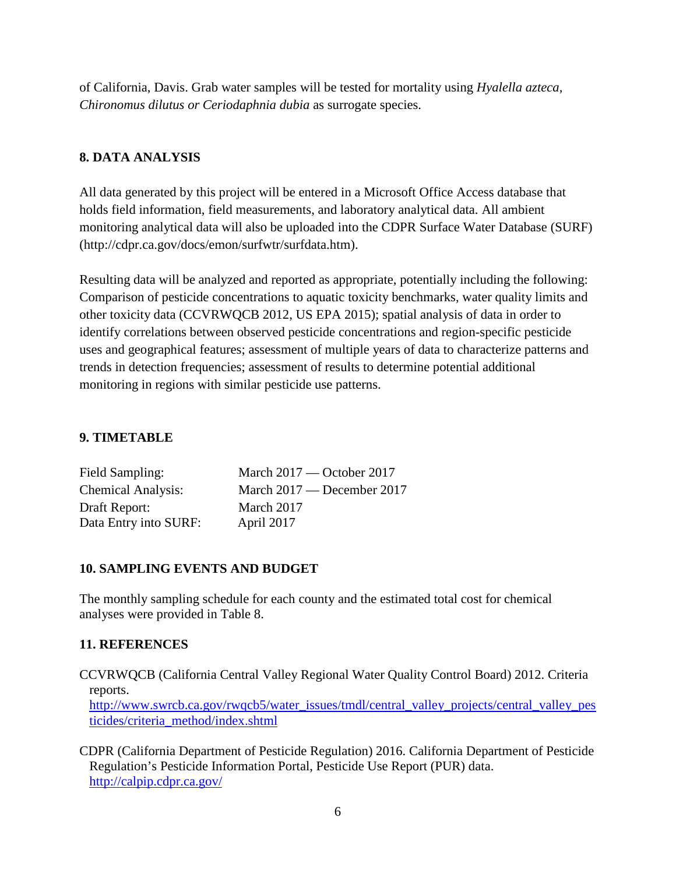of California, Davis. Grab water samples will be tested for mortality using *Hyalella azteca, Chironomus dilutus or Ceriodaphnia dubia* as surrogate species.

# **8. DATA ANALYSIS**

All data generated by this project will be entered in a Microsoft Office Access database that holds field information, field measurements, and laboratory analytical data. All ambient monitoring analytical data will also be uploaded into the CDPR Surface Water Database (SURF) ([http://cdpr.ca.gov/docs/emon/surfwtr/surfdata.htm\)](http://cdpr.ca.gov/docs/emon/surfwtr/surfdata.htm).

Resulting data will be analyzed and reported as appropriate, potentially including the following: Comparison of pesticide concentrations to aquatic toxicity benchmarks, water quality limits and other toxicity data (CCVRWQCB 2012, US EPA 2015); spatial analysis of data in order to identify correlations between observed pesticide concentrations and region-specific pesticide uses and geographical features; assessment of multiple years of data to characterize patterns and trends in detection frequencies; assessment of results to determine potential additional monitoring in regions with similar pesticide use patterns.

# **9. TIMETABLE**

| Field Sampling:           | March $2017$ — October 2017 |
|---------------------------|-----------------------------|
| <b>Chemical Analysis:</b> | March 2017 — December 2017  |
| Draft Report:             | March 2017                  |
| Data Entry into SURF:     | April 2017                  |

# **10. SAMPLING EVENTS AND BUDGET**

The monthly sampling schedule for each county and the estimated total cost for chemical analyses were provided in Table 8.

# **11. REFERENCES**

CCVRWQCB (California Central Valley Regional Water Quality Control Board) 2012. Criteria reports.

http://www.swrcb.ca.gov/rwqcb5/water\_issues/tmdl/central\_valley\_projects/central\_valley\_pes [ticides/criteria\\_method/index.shtml](http://www.swrcb.ca.gov/rwqcb5/water_issues/tmdl/central_valley_projects/central_valley_pesticides/criteria_method/index.shtml) 

CDPR (California Department of Pesticide Regulation) 2016. California Department of Pesticide Regulation's Pesticide Information Portal, Pesticide Use Report (PUR) data. <http://calpip.cdpr.ca.gov/>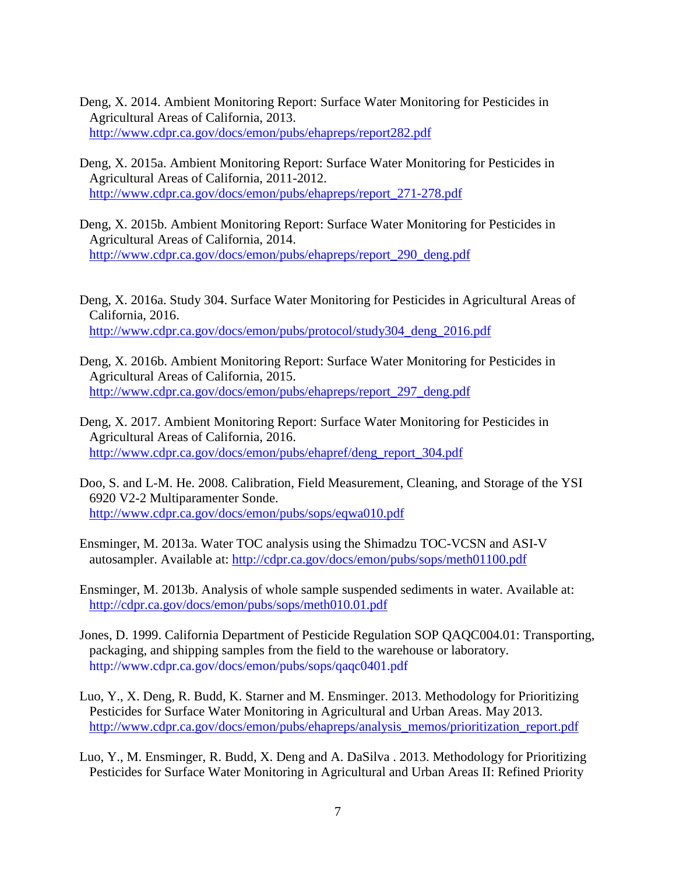- Deng, X. 2014. Ambient Monitoring Report: Surface Water Monitoring for Pesticides in Agricultural Areas of California, 2013. <http://www.cdpr.ca.gov/docs/emon/pubs/ehapreps/report282.pdf>
- Deng, X. 2015a. Ambient Monitoring Report: Surface Water Monitoring for Pesticides in Agricultural Areas of California, 2011-2012. [http://www.cdpr.ca.gov/docs/emon/pubs/ehapreps/report\\_271-278.pdf](http://www.cdpr.ca.gov/docs/emon/pubs/ehapreps/report_271-278.pdf)
- Deng, X. 2015b. Ambient Monitoring Report: Surface Water Monitoring for Pesticides in Agricultural Areas of California, 2014. [http://www.cdpr.ca.gov/docs/emon/pubs/ehapreps/report\\_290\\_deng.pdf](http://www.cdpr.ca.gov/docs/emon/pubs/ehapreps/report_290_deng.pdf)
- Deng, X. 2016a. Study 304. Surface Water Monitoring for Pesticides in Agricultural Areas of California, 2016. [http://www.cdpr.ca.gov/docs/emon/pubs/protocol/study304\\_deng\\_2016.pdf](http://www.cdpr.ca.gov/docs/emon/pubs/protocol/study304_deng_2016.pdf)
- Deng, X. 2016b. Ambient Monitoring Report: Surface Water Monitoring for Pesticides in Agricultural Areas of California, 2015. [http://www.cdpr.ca.gov/docs/emon/pubs/ehapreps/report\\_297\\_deng.pdf](http://www.cdpr.ca.gov/docs/emon/pubs/ehapreps/report_297_deng.pdf)
- Deng, X. 2017. Ambient Monitoring Report: Surface Water Monitoring for Pesticides in Agricultural Areas of California, 2016. [http://www.cdpr.ca.gov/docs/emon/pubs/ehapref/deng\\_report\\_304.pdf](http://www.cdpr.ca.gov/docs/emon/pubs/ehapref/deng_report_304.pdf)
- Doo, S. and L-M. He. 2008. Calibration, Field Measurement, Cleaning, and Storage of the YSI 6920 V2-2 Multiparamenter Sonde. <http://www.cdpr.ca.gov/docs/emon/pubs/sops/eqwa010.pdf>
- Ensminger, M. 2013a. Water TOC analysis using the Shimadzu TOC-VCSN and ASI-V autosampler. Available at: <http://cdpr.ca.gov/docs/emon/pubs/sops/meth01100.pdf>
- Ensminger, M. 2013b. Analysis of whole sample suspended sediments in water. Available at: <http://cdpr.ca.gov/docs/emon/pubs/sops/meth010.01.pdf>
- Jones, D. 1999. California Department of Pesticide Regulation SOP QAQC004.01: Transporting, packaging, and shipping samples from the field to the warehouse or laboratory. <http://www.cdpr.ca.gov/docs/emon/pubs/sops/qaqc0401.pdf>
- Luo, Y., X. Deng, R. Budd, K. Starner and M. Ensminger. 2013. Methodology for Prioritizing Pesticides for Surface Water Monitoring in Agricultural and Urban Areas. May 2013. [http://www.cdpr.ca.gov/docs/emon/pubs/ehapreps/analysis\\_memos/prioritization\\_report.pdf](http://www.cdpr.ca.gov/docs/emon/pubs/ehapreps/analysis_memos/prioritization_report.pdf)
- Luo, Y., M. Ensminger, R. Budd, X. Deng and A. DaSilva . 2013. Methodology for Prioritizing Pesticides for Surface Water Monitoring in Agricultural and Urban Areas II: Refined Priority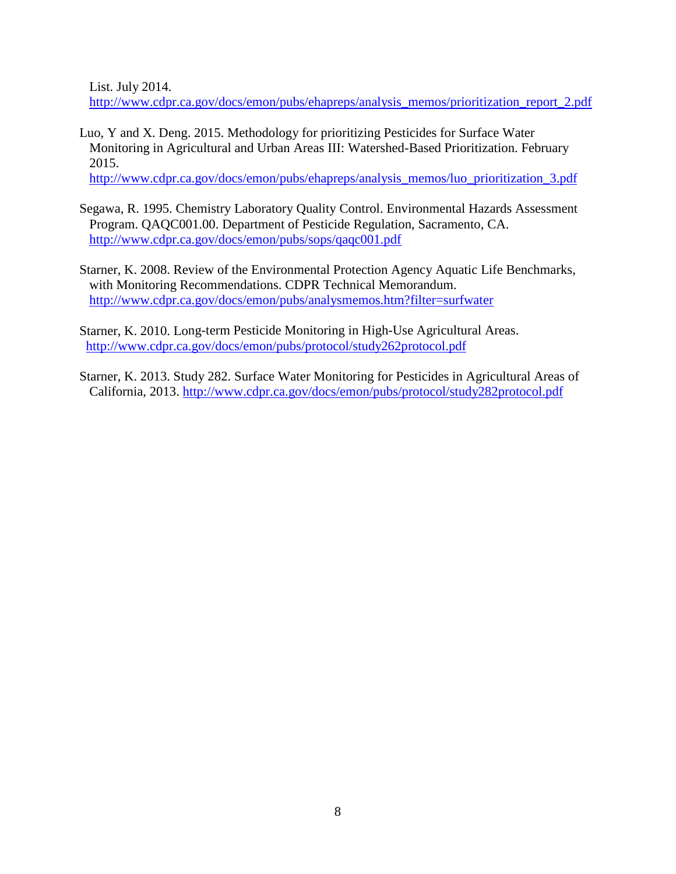List. July 2014.

[http://www.cdpr.ca.gov/docs/emon/pubs/ehapreps/analysis\\_memos/prioritization\\_report\\_2.pdf](http://www.cdpr.ca.gov/docs/emon/pubs/ehapreps/analysis_memos/prioritization_report_2.pdf) 

Luo, Y and X. Deng. 2015. Methodology for prioritizing Pesticides for Surface Water Monitoring in Agricultural and Urban Areas III: Watershed-Based Prioritization. February 2015.

[http://www.cdpr.ca.gov/docs/emon/pubs/ehapreps/analysis\\_memos/luo\\_prioritization\\_3.pdf](http://www.cdpr.ca.gov/docs/emon/pubs/ehapreps/analysis_memos/luo_prioritization_3.pdf)

- Segawa, R. 1995. Chemistry Laboratory Quality Control. Environmental Hazards Assessment Program. QAQC001.00. Department of Pesticide Regulation, Sacramento, CA. <http://www.cdpr.ca.gov/docs/emon/pubs/sops/qaqc001.pdf>
- Starner, K. 2008. Review of the Environmental Protection Agency Aquatic Life Benchmarks, with Monitoring Recommendations. CDPR Technical Memorandum. <http://www.cdpr.ca.gov/docs/emon/pubs/analysmemos.htm?filter=surfwater>
- Starner, K. 2010. Long-term Pesticide Monitoring in High-Use Agricultural Areas. <http://www.cdpr.ca.gov/docs/emon/pubs/protocol/study262protocol.pdf>
- Starner, K. 2013. Study 282. Surface Water Monitoring for Pesticides in Agricultural Areas of California, 2013.<http://www.cdpr.ca.gov/docs/emon/pubs/protocol/study282protocol.pdf>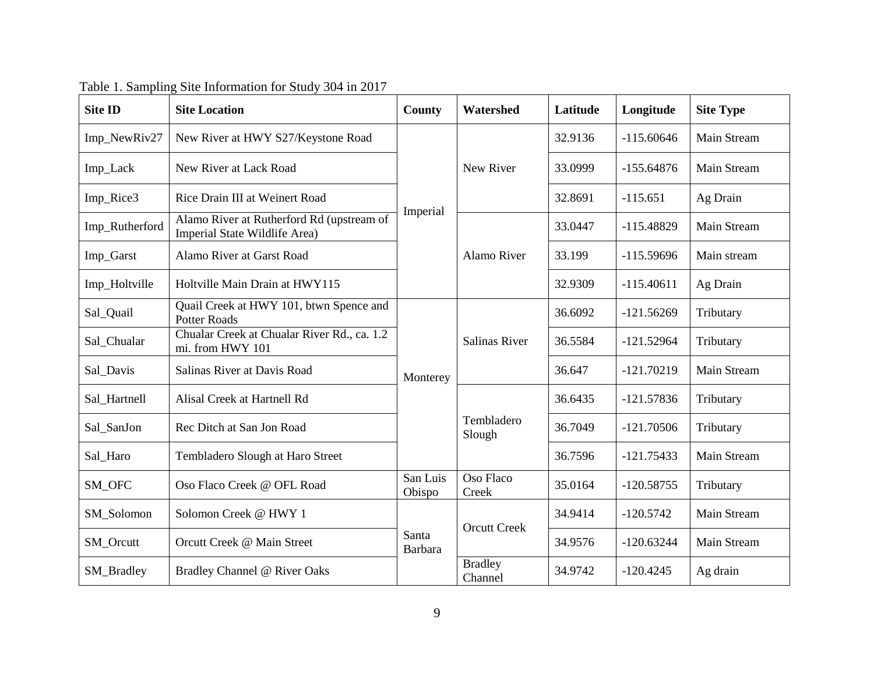| <b>Site ID</b> | <b>Site Location</b>                                                       | <b>County</b>      | Watershed                 | Latitude | Longitude    | <b>Site Type</b> |
|----------------|----------------------------------------------------------------------------|--------------------|---------------------------|----------|--------------|------------------|
| Imp_NewRiv27   | New River at HWY S27/Keystone Road                                         |                    |                           | 32.9136  | $-115.60646$ | Main Stream      |
| Imp_Lack       | New River at Lack Road                                                     |                    | New River                 | 33.0999  | $-155.64876$ | Main Stream      |
| Imp_Rice3      | Rice Drain III at Weinert Road                                             |                    |                           | 32.8691  | $-115.651$   | Ag Drain         |
| Imp_Rutherford | Alamo River at Rutherford Rd (upstream of<br>Imperial State Wildlife Area) | Imperial           |                           | 33.0447  | $-115.48829$ | Main Stream      |
| Imp_Garst      | Alamo River at Garst Road                                                  |                    | Alamo River               | 33.199   | $-115.59696$ | Main stream      |
| Imp_Holtville  | Holtville Main Drain at HWY115                                             |                    |                           | 32.9309  | $-115.40611$ | Ag Drain         |
| Sal_Quail      | Quail Creek at HWY 101, btwn Spence and<br><b>Potter Roads</b>             |                    |                           | 36.6092  | $-121.56269$ | Tributary        |
| Sal_Chualar    | Chualar Creek at Chualar River Rd., ca. 1.2<br>mi. from HWY 101            |                    | <b>Salinas River</b>      | 36.5584  | $-121.52964$ | Tributary        |
| Sal_Davis      | Salinas River at Davis Road                                                | Monterey           |                           | 36.647   | $-121.70219$ | Main Stream      |
| Sal_Hartnell   | Alisal Creek at Hartnell Rd                                                |                    |                           | 36.6435  | $-121.57836$ | Tributary        |
| Sal_SanJon     | Rec Ditch at San Jon Road                                                  |                    | Tembladero<br>Slough      | 36.7049  | $-121.70506$ | Tributary        |
| Sal_Haro       | Tembladero Slough at Haro Street                                           |                    |                           | 36.7596  | $-121.75433$ | Main Stream      |
| SM_OFC         | Oso Flaco Creek @ OFL Road                                                 | San Luis<br>Obispo | Oso Flaco<br>Creek        | 35.0164  | $-120.58755$ | Tributary        |
| SM_Solomon     | Solomon Creek @ HWY 1                                                      |                    | <b>Orcutt Creek</b>       | 34.9414  | $-120.5742$  | Main Stream      |
| SM_Orcutt      | Orcutt Creek @ Main Street                                                 | Santa<br>Barbara   |                           | 34.9576  | $-120.63244$ | Main Stream      |
| SM_Bradley     | Bradley Channel @ River Oaks                                               |                    | <b>Bradley</b><br>Channel | 34.9742  | $-120.4245$  | Ag drain         |

Table 1. Sampling Site Information for Study 304 in 2017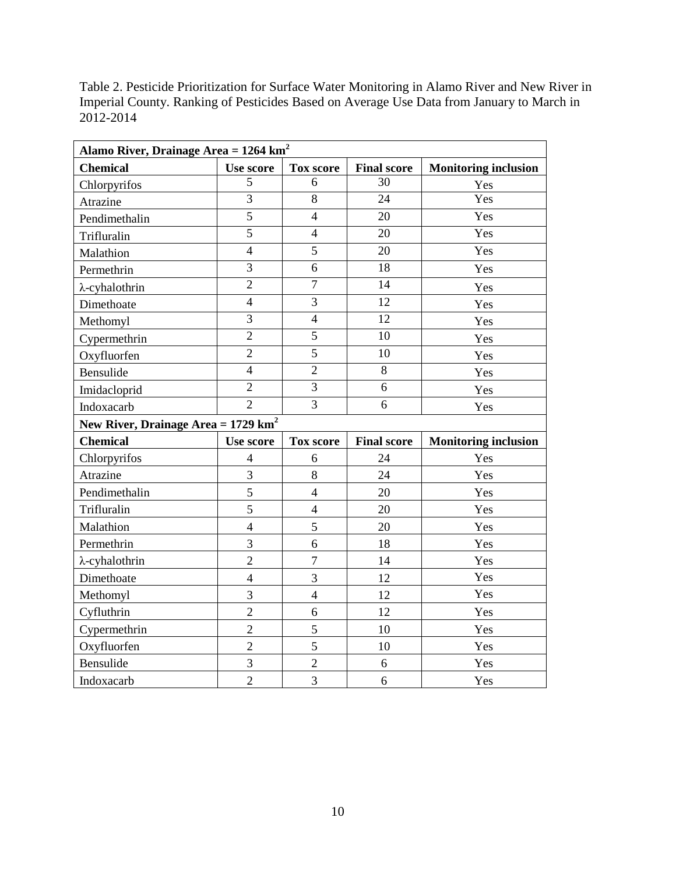Table 2. Pesticide Prioritization for Surface Water Monitoring in Alamo River and New River in Imperial County. Ranking of Pesticides Based on Average Use Data from January to March in 2012-2014

| Alamo River, Drainage Area = 1264 km <sup>2</sup> |                         |                  |                    |                             |  |  |  |  |
|---------------------------------------------------|-------------------------|------------------|--------------------|-----------------------------|--|--|--|--|
| <b>Chemical</b>                                   | <b>Use score</b>        | <b>Tox score</b> | <b>Final score</b> | <b>Monitoring inclusion</b> |  |  |  |  |
| Chlorpyrifos                                      | 5                       | 6                | 30                 | Yes                         |  |  |  |  |
| Atrazine                                          | $\overline{3}$          | 8                | $\overline{24}$    | Yes                         |  |  |  |  |
| Pendimethalin                                     | $\overline{5}$          | $\overline{4}$   | 20                 | Yes                         |  |  |  |  |
| Trifluralin                                       | 5                       | $\overline{4}$   | 20                 | Yes                         |  |  |  |  |
| Malathion                                         | $\overline{4}$          | $\overline{5}$   | 20                 | Yes                         |  |  |  |  |
| Permethrin                                        | $\overline{3}$          | 6                | 18                 | Yes                         |  |  |  |  |
| $\lambda$ -cyhalothrin                            | $\overline{2}$          | $\overline{7}$   | 14                 | Yes                         |  |  |  |  |
| Dimethoate                                        | $\overline{4}$          | 3                | 12                 | Yes                         |  |  |  |  |
| Methomyl                                          | $\overline{3}$          | $\overline{4}$   | $\overline{12}$    | Yes                         |  |  |  |  |
| Cypermethrin                                      | $\overline{2}$          | $\overline{5}$   | 10                 | Yes                         |  |  |  |  |
| Oxyfluorfen                                       | $\overline{2}$          | 5                | 10                 | Yes                         |  |  |  |  |
| Bensulide                                         | $\overline{4}$          | $\overline{2}$   | $8\,$              | Yes                         |  |  |  |  |
| Imidacloprid                                      | $\overline{2}$          | $\overline{3}$   | 6                  | Yes                         |  |  |  |  |
| Indoxacarb                                        | $\overline{2}$          | $\overline{3}$   | $\overline{6}$     | Yes                         |  |  |  |  |
| New River, Drainage Area = $1729 \text{ km}^2$    |                         |                  |                    |                             |  |  |  |  |
|                                                   |                         |                  |                    |                             |  |  |  |  |
| <b>Chemical</b>                                   | Use score               | <b>Tox score</b> | <b>Final score</b> | <b>Monitoring inclusion</b> |  |  |  |  |
| Chlorpyrifos                                      | $\overline{\mathbf{4}}$ | 6                | 24                 | Yes                         |  |  |  |  |
| Atrazine                                          | 3                       | $8\,$            | 24                 | Yes                         |  |  |  |  |
| Pendimethalin                                     | 5                       | $\overline{4}$   | 20                 | Yes                         |  |  |  |  |
| Trifluralin                                       | 5                       | $\overline{4}$   | 20                 | Yes                         |  |  |  |  |
| Malathion                                         | $\overline{4}$          | 5                | 20                 | Yes                         |  |  |  |  |
| Permethrin                                        | $\overline{3}$          | 6                | 18                 | Yes                         |  |  |  |  |
| $\lambda$ -cyhalothrin                            | $\overline{2}$          | $\overline{7}$   | 14                 | Yes                         |  |  |  |  |
| Dimethoate                                        | $\overline{4}$          | 3                | 12                 | Yes                         |  |  |  |  |
| Methomyl                                          | 3                       | $\overline{4}$   | 12                 | Yes                         |  |  |  |  |
| Cyfluthrin                                        | $\overline{2}$          | 6                | 12                 | Yes                         |  |  |  |  |
| Cypermethrin                                      | $\overline{2}$          | 5                | 10                 | Yes                         |  |  |  |  |
| Oxyfluorfen                                       | $\overline{2}$          | 5                | 10                 | Yes                         |  |  |  |  |
| Bensulide                                         | $\overline{3}$          | $\overline{2}$   | 6                  | Yes                         |  |  |  |  |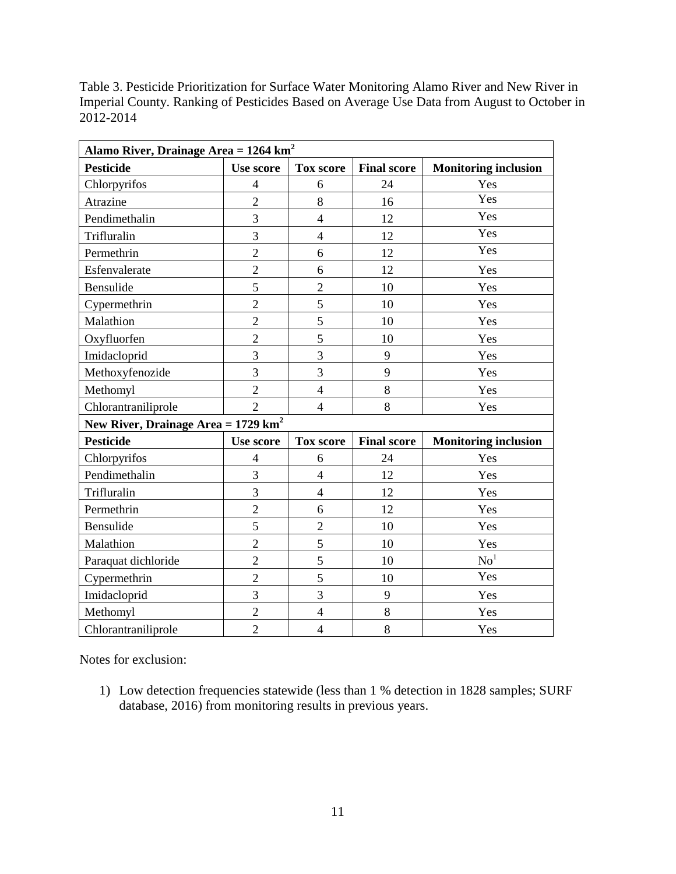| Table 3. Pesticide Prioritization for Surface Water Monitoring Alamo River and New River in |
|---------------------------------------------------------------------------------------------|
| Imperial County. Ranking of Pesticides Based on Average Use Data from August to October in  |
| 2012-2014                                                                                   |

| Alamo River, Drainage Area = $1264 \text{ km}^2$ |                  |                  |                    |                             |  |  |  |  |  |
|--------------------------------------------------|------------------|------------------|--------------------|-----------------------------|--|--|--|--|--|
| <b>Pesticide</b>                                 | <b>Use score</b> | <b>Tox score</b> | <b>Final score</b> | <b>Monitoring inclusion</b> |  |  |  |  |  |
| Chlorpyrifos                                     | $\overline{4}$   | 6                | 24                 | Yes                         |  |  |  |  |  |
| Atrazine                                         | $\overline{2}$   | 8                | 16                 | Yes                         |  |  |  |  |  |
| Pendimethalin                                    | 3                | $\overline{4}$   | 12                 | Yes                         |  |  |  |  |  |
| Trifluralin                                      | $\overline{3}$   | $\overline{4}$   | 12                 | Yes                         |  |  |  |  |  |
| Permethrin                                       | $\overline{2}$   | 6                | 12                 | Yes                         |  |  |  |  |  |
| Esfenvalerate                                    | $\overline{2}$   | 6                | 12                 | Yes                         |  |  |  |  |  |
| Bensulide                                        | 5                | $\overline{2}$   | 10                 | Yes                         |  |  |  |  |  |
| Cypermethrin                                     | $\overline{2}$   | 5                | 10                 | Yes                         |  |  |  |  |  |
| Malathion                                        | $\overline{2}$   | 5                | 10                 | Yes                         |  |  |  |  |  |
| Oxyfluorfen                                      | $\overline{2}$   | 5                | 10                 | Yes                         |  |  |  |  |  |
| Imidacloprid                                     | $\overline{3}$   | $\overline{3}$   | 9                  | Yes                         |  |  |  |  |  |
| Methoxyfenozide                                  | 3                | 3                | 9                  | Yes                         |  |  |  |  |  |
| Methomyl                                         | $\overline{2}$   | $\overline{4}$   | 8                  | Yes                         |  |  |  |  |  |
| Chlorantraniliprole                              | $\overline{2}$   | $\overline{4}$   | 8                  | Yes                         |  |  |  |  |  |
| New River, Drainage Area = $1729 \text{ km}^2$   |                  |                  |                    |                             |  |  |  |  |  |
| <b>Pesticide</b>                                 | <b>Use score</b> | <b>Tox score</b> | <b>Final score</b> | <b>Monitoring inclusion</b> |  |  |  |  |  |
| Chlorpyrifos                                     | $\overline{4}$   | 6                | 24                 | Yes                         |  |  |  |  |  |
| Pendimethalin                                    | 3                | $\overline{4}$   | 12                 | Yes                         |  |  |  |  |  |
| Trifluralin                                      | $\overline{3}$   | $\overline{4}$   | 12                 | Yes                         |  |  |  |  |  |
| Permethrin                                       | $\overline{2}$   | 6                | 12                 | Yes                         |  |  |  |  |  |
| Bensulide                                        | 5                | $\overline{c}$   | 10                 | Yes                         |  |  |  |  |  |
| Malathion                                        | $\overline{2}$   | 5                | 10                 | Yes                         |  |  |  |  |  |
| Paraquat dichloride                              | $\overline{2}$   | 5                | 10                 | $\mathrm{No}^1$             |  |  |  |  |  |
| Cypermethrin                                     | $\overline{2}$   | 5                | 10                 | Yes                         |  |  |  |  |  |
| Imidacloprid                                     | 3                | $\overline{3}$   | 9                  | Yes                         |  |  |  |  |  |
| Methomyl                                         | $\overline{2}$   | $\overline{4}$   | 8                  | Yes                         |  |  |  |  |  |
| Chlorantraniliprole                              | $\overline{2}$   | $\overline{4}$   | 8                  | Yes                         |  |  |  |  |  |

Notes for exclusion:

 1) Low detection frequencies statewide (less than 1 % detection in 1828 samples; SURF database, 2016) from monitoring results in previous years.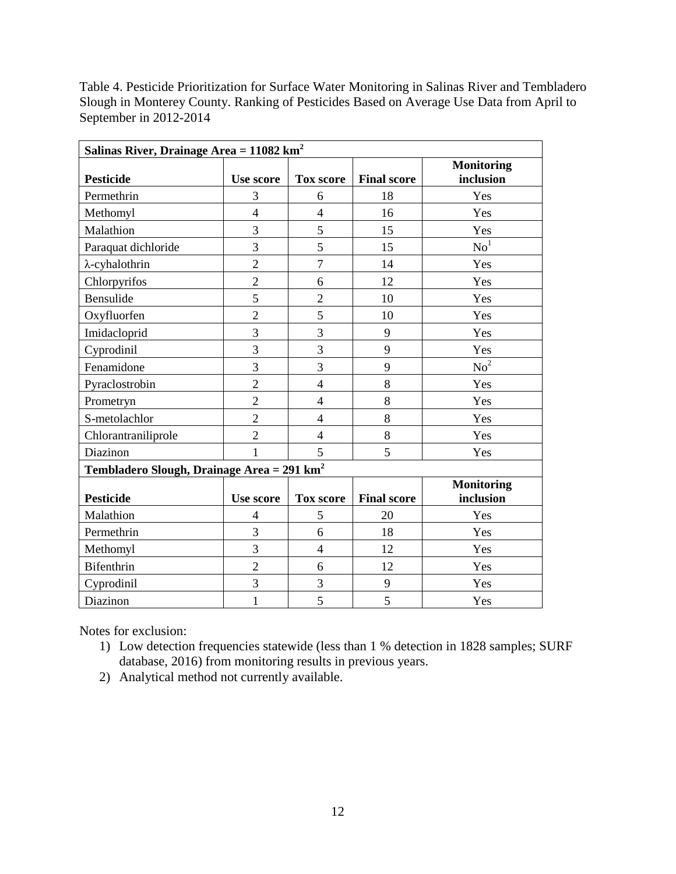Table 4. Pesticide Prioritization for Surface Water Monitoring in Salinas River and Tembladero Slough in Monterey County. Ranking of Pesticides Based on Average Use Data from April to September in 2012-2014

| Salinas River, Drainage Area = $11082 \text{ km}^2$    |                          |                  |                    |                   |  |  |  |  |
|--------------------------------------------------------|--------------------------|------------------|--------------------|-------------------|--|--|--|--|
|                                                        |                          |                  |                    | <b>Monitoring</b> |  |  |  |  |
| <b>Pesticide</b>                                       | <b>Use score</b>         | <b>Tox score</b> | <b>Final score</b> | inclusion         |  |  |  |  |
| Permethrin                                             | 3                        | 6                | 18                 | Yes               |  |  |  |  |
| Methomyl                                               | $\overline{\mathcal{L}}$ | $\overline{4}$   | 16                 | Yes               |  |  |  |  |
| Malathion                                              | 3                        | 5                | 15                 | Yes               |  |  |  |  |
| Paraquat dichloride                                    | 3                        | 5                | 15                 | $\mathrm{No}^1$   |  |  |  |  |
| $\lambda$ -cyhalothrin                                 | $\overline{2}$           | $\tau$           | 14                 | Yes               |  |  |  |  |
| Chlorpyrifos                                           | $\overline{2}$           | 6                | 12                 | Yes               |  |  |  |  |
| Bensulide                                              | 5                        | $\overline{2}$   | 10                 | Yes               |  |  |  |  |
| Oxyfluorfen                                            | $\overline{c}$           | 5                | 10                 | Yes               |  |  |  |  |
| Imidacloprid                                           | $\overline{3}$           | $\overline{3}$   | 9                  | Yes               |  |  |  |  |
| Cyprodinil                                             | $\overline{3}$           | $\overline{3}$   | 9                  | Yes               |  |  |  |  |
| Fenamidone                                             | $\overline{3}$           | $\overline{3}$   | 9                  | No <sup>2</sup>   |  |  |  |  |
| Pyraclostrobin                                         | $\overline{2}$           | $\overline{4}$   | 8                  | Yes               |  |  |  |  |
| Prometryn                                              | $\overline{2}$           | $\overline{4}$   | 8                  | Yes               |  |  |  |  |
| S-metolachlor                                          | $\overline{2}$           | $\overline{4}$   | 8                  | Yes               |  |  |  |  |
| Chlorantraniliprole                                    | $\overline{2}$           | $\overline{4}$   | 8                  | Yes               |  |  |  |  |
| Diazinon                                               | $\mathbf{1}$             | 5                | 5                  | Yes               |  |  |  |  |
| Tembladero Slough, Drainage Area = 291 km <sup>2</sup> |                          |                  |                    |                   |  |  |  |  |
|                                                        |                          |                  |                    | <b>Monitoring</b> |  |  |  |  |
| <b>Pesticide</b>                                       | <b>Use score</b>         | <b>Tox score</b> | <b>Final score</b> | inclusion         |  |  |  |  |
| Malathion                                              | $\overline{4}$           | 5                | 20                 | Yes               |  |  |  |  |
| Permethrin                                             | 3                        | 6                | 18                 | Yes               |  |  |  |  |
| Methomyl                                               | 3                        | $\overline{4}$   | 12                 | Yes               |  |  |  |  |
| <b>Bifenthrin</b>                                      | $\overline{2}$           | 6                | 12                 | Yes               |  |  |  |  |
| Cyprodinil                                             | 3                        | 3                | 9                  | Yes               |  |  |  |  |
| Diazinon                                               | $\mathbf{1}$             | 5                | 5                  | Yes               |  |  |  |  |

Notes for exclusion:

- 1) Low detection frequencies statewide (less than 1 % detection in 1828 samples; SURF database, 2016) from monitoring results in previous years.
- 2) Analytical method not currently available.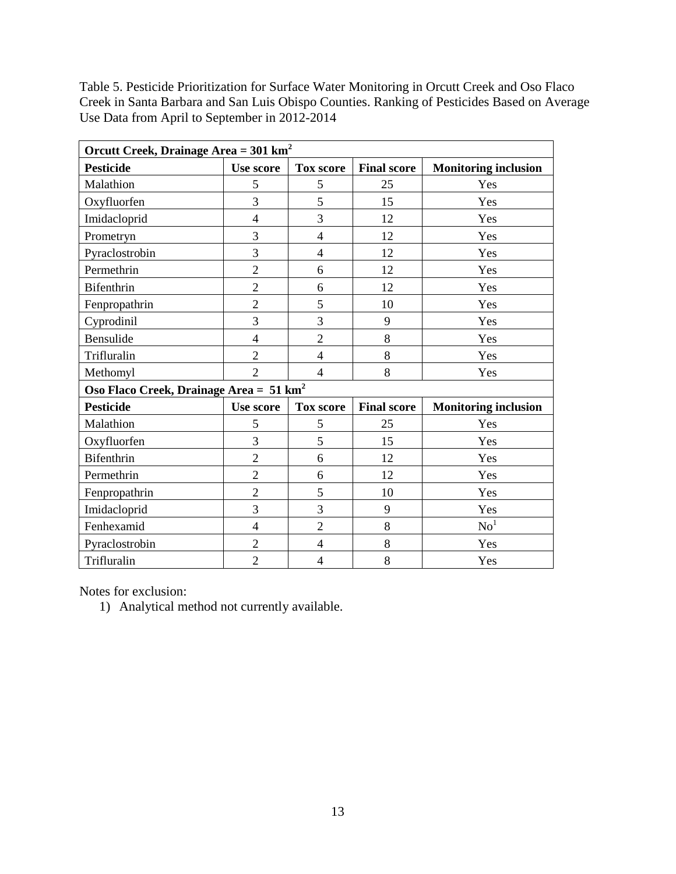Table 5. Pesticide Prioritization for Surface Water Monitoring in Orcutt Creek and Oso Flaco Creek in Santa Barbara and San Luis Obispo Counties. Ranking of Pesticides Based on Average Use Data from April to September in 2012-2014

| Orcutt Creek, Drainage Area = $301 \text{ km}^2$    |                  |                  |                    |                             |  |  |  |  |  |
|-----------------------------------------------------|------------------|------------------|--------------------|-----------------------------|--|--|--|--|--|
| <b>Pesticide</b>                                    | <b>Use score</b> | <b>Tox score</b> | <b>Final score</b> | <b>Monitoring inclusion</b> |  |  |  |  |  |
| Malathion                                           | 5                | 5                | 25                 | Yes                         |  |  |  |  |  |
| Oxyfluorfen                                         | 3                | 5                | 15                 | Yes                         |  |  |  |  |  |
| Imidacloprid                                        | $\overline{4}$   | 3                | 12                 | Yes                         |  |  |  |  |  |
| Prometryn                                           | 3                | $\overline{4}$   | 12                 | Yes                         |  |  |  |  |  |
| Pyraclostrobin                                      | 3                | $\overline{4}$   | 12                 | Yes                         |  |  |  |  |  |
| Permethrin                                          | $\overline{2}$   | 6                | 12                 | Yes                         |  |  |  |  |  |
| Bifenthrin                                          | $\overline{2}$   | 6                | 12                 | Yes                         |  |  |  |  |  |
| Fenpropathrin                                       | $\overline{2}$   | 5                | 10                 | Yes                         |  |  |  |  |  |
| Cyprodinil                                          | $\overline{3}$   | 3                | 9                  | Yes                         |  |  |  |  |  |
| Bensulide                                           | $\overline{4}$   | $\overline{2}$   | 8                  | Yes                         |  |  |  |  |  |
| Trifluralin                                         | $\overline{2}$   | $\overline{4}$   | 8                  | Yes                         |  |  |  |  |  |
| Methomyl                                            | $\overline{2}$   | $\overline{4}$   | 8                  | Yes                         |  |  |  |  |  |
| Oso Flaco Creek, Drainage Area = 51 km <sup>2</sup> |                  |                  |                    |                             |  |  |  |  |  |
| <b>Pesticide</b>                                    | <b>Use score</b> | <b>Tox score</b> | <b>Final score</b> | <b>Monitoring inclusion</b> |  |  |  |  |  |
| Malathion                                           | 5                | 5                | 25                 | Yes                         |  |  |  |  |  |
| Oxyfluorfen                                         | 3                | 5                | 15                 | Yes                         |  |  |  |  |  |
| Bifenthrin                                          | $\overline{2}$   | 6                | 12                 | Yes                         |  |  |  |  |  |
| Permethrin                                          | $\overline{2}$   | 6                | 12                 | Yes                         |  |  |  |  |  |
| Fenpropathrin                                       | $\overline{2}$   | 5                | 10                 | Yes                         |  |  |  |  |  |
| Imidacloprid                                        | 3                | 3                | 9                  | Yes                         |  |  |  |  |  |
| Fenhexamid                                          | $\overline{4}$   | $\overline{2}$   | 8                  | $\mathrm{No}^1$             |  |  |  |  |  |
| Pyraclostrobin                                      | $\overline{2}$   | $\overline{4}$   | 8                  | Yes                         |  |  |  |  |  |
| Trifluralin                                         | $\overline{2}$   | 4                | 8                  | Yes                         |  |  |  |  |  |

Notes for exclusion:

1) Analytical method not currently available.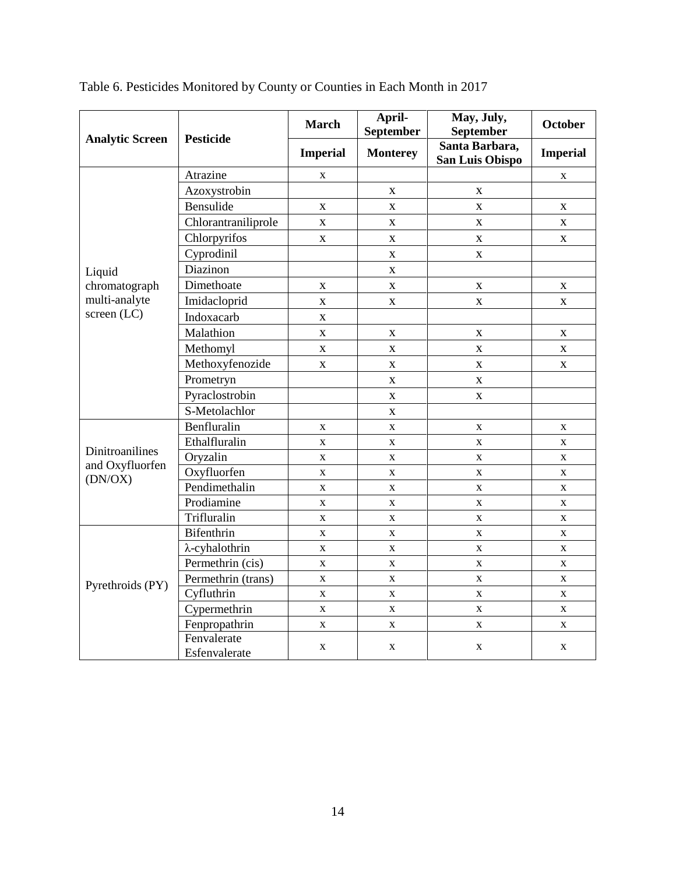| <b>Analytic Screen</b>             | <b>Pesticide</b>             | <b>March</b>    | April-<br>September | May, July,<br>September                  | <b>October</b>  |
|------------------------------------|------------------------------|-----------------|---------------------|------------------------------------------|-----------------|
|                                    |                              | <b>Imperial</b> | <b>Monterey</b>     | Santa Barbara,<br><b>San Luis Obispo</b> | <b>Imperial</b> |
|                                    | Atrazine                     | X               |                     |                                          | X               |
|                                    | Azoxystrobin                 |                 | X                   | X                                        |                 |
|                                    | Bensulide                    | $\mathbf X$     | $\mathbf X$         | $\mathbf{X}$                             | $\mathbf X$     |
|                                    | Chlorantraniliprole          | $\mathbf X$     | $\mathbf X$         | $\mathbf X$                              | X               |
|                                    | Chlorpyrifos                 | $\mathbf X$     | $\mathbf X$         | $\mathbf X$                              | X               |
|                                    | Cyprodinil                   |                 | $\mathbf X$         | X                                        |                 |
| Liquid                             | Diazinon                     |                 | $\mathbf X$         |                                          |                 |
| chromatograph                      | Dimethoate                   | X               | X                   | $\mathbf{X}$                             | X               |
| multi-analyte                      | Imidacloprid                 | $\mathbf X$     | X                   | $\mathbf X$                              | X               |
| screen (LC)                        | Indoxacarb                   | $\mathbf{X}$    |                     |                                          |                 |
|                                    | Malathion                    | $\mathbf X$     | $\mathbf X$         | $\mathbf X$                              | X               |
|                                    | Methomyl                     | $\mathbf X$     | $\mathbf X$         | X                                        | $\mathbf X$     |
|                                    | Methoxyfenozide              | $\mathbf X$     | $\mathbf X$         | X                                        | X               |
|                                    | Prometryn                    |                 | $\mathbf X$         | $\mathbf X$                              |                 |
|                                    | Pyraclostrobin               |                 | $\bar{\mathbf{X}}$  | $\mathbf{X}$                             |                 |
|                                    | S-Metolachlor                |                 | $\mathbf X$         |                                          |                 |
|                                    | Benfluralin                  | $\mathbf X$     | $\mathbf X$         | $\mathbf X$                              | X               |
|                                    | Ethalfluralin                | $\mathbf X$     | $\mathbf X$         | $\mathbf X$                              | X               |
| Dinitroanilines<br>and Oxyfluorfen | Oryzalin                     | $\mathbf X$     | $\mathbf X$         | X                                        | X               |
| (DN/OX)                            | Oxyfluorfen                  | $\mathbf X$     | $\mathbf X$         | $\mathbf X$                              | $\mathbf X$     |
|                                    | Pendimethalin                | $\mathbf X$     | $\mathbf X$         | $\mathbf X$                              | X               |
|                                    | Prodiamine                   | $\mathbf X$     | $\mathbf{X}$        | $\mathbf{X}$                             | X               |
|                                    | Trifluralin                  | $\mathbf X$     | X                   | X                                        | X               |
|                                    | Bifenthrin                   | $\mathbf X$     | $\mathbf X$         | $\mathbf X$                              | $\mathbf X$     |
|                                    | $\lambda$ -cyhalothrin       | $\mathbf X$     | $\mathbf X$         | $\mathbf X$                              | $\mathbf X$     |
|                                    | Permethrin (cis)             | X               | $\mathbf X$         | X                                        | X               |
| Pyrethroids (PY)                   | Permethrin (trans)           | $\mathbf X$     | $\mathbf X$         | $\mathbf X$                              | $\mathbf X$     |
|                                    | Cyfluthrin                   | $\mathbf X$     | $\mathbf X$         | $\mathbf X$                              | X               |
|                                    | Cypermethrin                 | $\mathbf X$     | $\mathbf X$         | X                                        | $\mathbf X$     |
|                                    | Fenpropathrin                | $\mathbf X$     | $\mathbf X$         | $\mathbf X$                              | $\mathbf X$     |
|                                    | Fenvalerate<br>Esfenvalerate | $\mathbf X$     | $\mathbf X$         | $\mathbf X$                              | X               |

Table 6. Pesticides Monitored by County or Counties in Each Month in 2017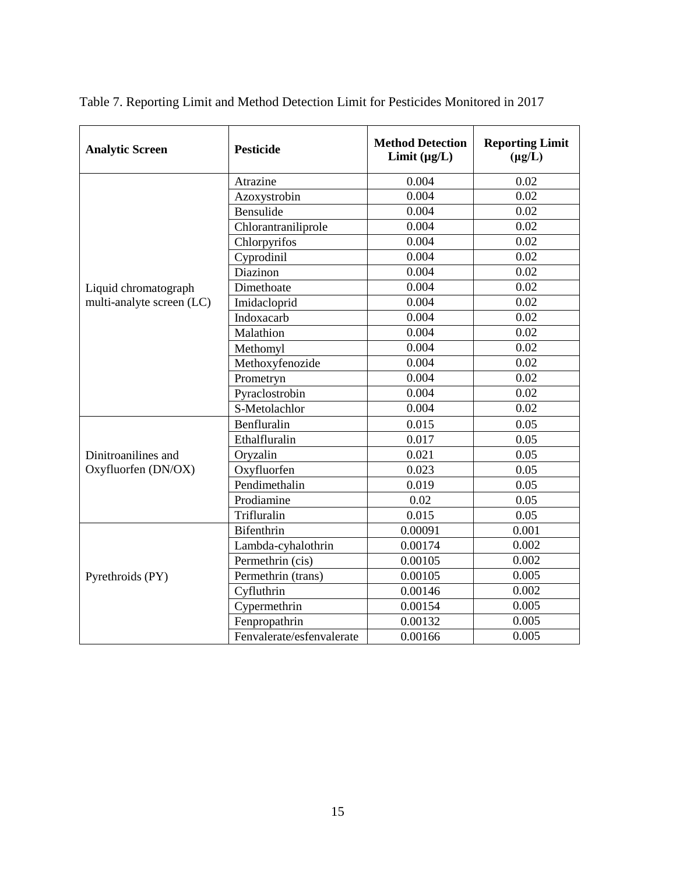| <b>Analytic Screen</b>    | <b>Pesticide</b>          | <b>Method Detection</b><br>Limit $(\mu g/L)$ | <b>Reporting Limit</b><br>$(\mu g/L)$ |
|---------------------------|---------------------------|----------------------------------------------|---------------------------------------|
|                           | Atrazine                  | 0.004                                        | 0.02                                  |
|                           | Azoxystrobin              | 0.004                                        | 0.02                                  |
|                           | Bensulide                 | 0.004                                        | 0.02                                  |
|                           | Chlorantraniliprole       | 0.004                                        | 0.02                                  |
|                           | Chlorpyrifos              | 0.004                                        | 0.02                                  |
|                           | Cyprodinil                | 0.004                                        | 0.02                                  |
|                           | Diazinon                  | 0.004                                        | 0.02                                  |
| Liquid chromatograph      | Dimethoate                | 0.004                                        | 0.02                                  |
| multi-analyte screen (LC) | Imidacloprid              | 0.004                                        | 0.02                                  |
|                           | Indoxacarb                | 0.004                                        | 0.02                                  |
|                           | Malathion                 | 0.004                                        | 0.02                                  |
|                           | Methomyl                  | 0.004                                        | 0.02                                  |
|                           | Methoxyfenozide           | 0.004                                        | 0.02                                  |
|                           | Prometryn                 | 0.004                                        | 0.02                                  |
|                           | Pyraclostrobin            | 0.004                                        | 0.02                                  |
|                           | S-Metolachlor             | 0.004                                        | 0.02                                  |
|                           | Benfluralin               | 0.015                                        | 0.05                                  |
|                           | Ethalfluralin             | 0.017                                        | 0.05                                  |
| Dinitroanilines and       | Oryzalin                  | 0.021                                        | 0.05                                  |
| Oxyfluorfen (DN/OX)       | Oxyfluorfen               | 0.023                                        | 0.05                                  |
|                           | Pendimethalin             | 0.019                                        | 0.05                                  |
|                           | Prodiamine                | 0.02                                         | 0.05                                  |
|                           | Trifluralin               | 0.015                                        | 0.05                                  |
|                           | Bifenthrin                | 0.00091                                      | 0.001                                 |
|                           | Lambda-cyhalothrin        | 0.00174                                      | 0.002                                 |
|                           | Permethrin (cis)          | 0.00105                                      | 0.002                                 |
| Pyrethroids (PY)          | Permethrin (trans)        | 0.00105                                      | 0.005                                 |
|                           | Cyfluthrin                | 0.00146                                      | 0.002                                 |
|                           | Cypermethrin              | 0.00154                                      | 0.005                                 |
|                           | Fenpropathrin             | 0.00132                                      | 0.005                                 |
|                           | Fenvalerate/esfenvalerate | 0.00166                                      | 0.005                                 |

Table 7. Reporting Limit and Method Detection Limit for Pesticides Monitored in 2017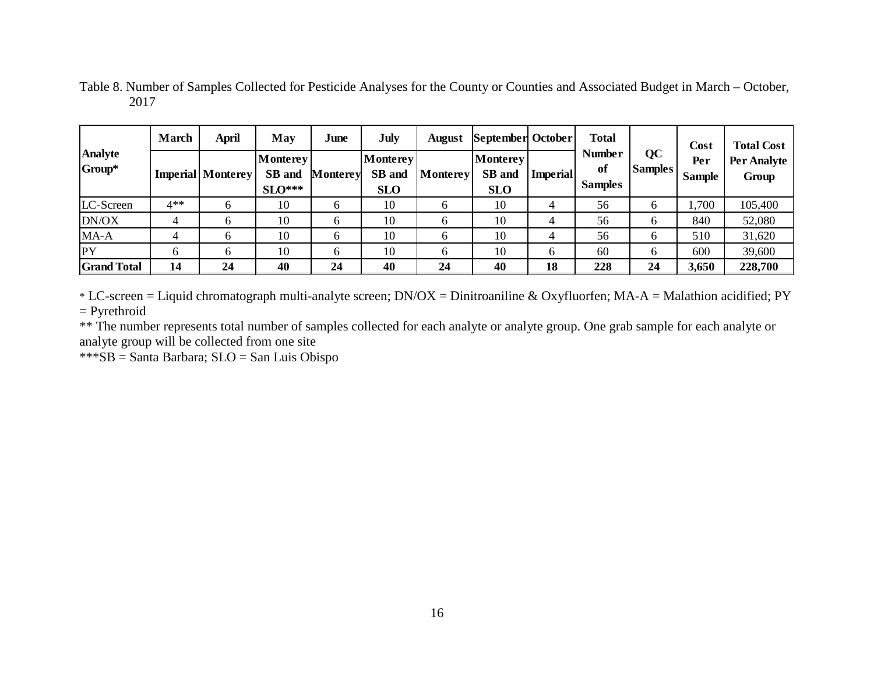|                               | <b>March</b> | April                    | May                            | June     | July                                    | <b>August</b> | September October                |                 | <b>Total</b>                          |                      | Cost                 | <b>Total Cost</b>    |
|-------------------------------|--------------|--------------------------|--------------------------------|----------|-----------------------------------------|---------------|----------------------------------|-----------------|---------------------------------------|----------------------|----------------------|----------------------|
| <b>Analyte</b><br>$ Group^* $ |              | <b>Imperial</b> Monterey | Monterey<br>SB and<br>$SLO***$ | Monterey | <b>Monterey</b><br>SB and<br><b>SLO</b> | Monterey      | Monterey<br>SB and<br><b>SLO</b> | <b>Imperial</b> | <b>Number</b><br>of<br><b>Samples</b> | QC<br><b>Samples</b> | Per<br><b>Sample</b> | Per Analyte<br>Group |
| LC-Screen                     | $4**$        | <sub>n</sub>             | 10                             |          | 10                                      | <sub>0</sub>  | 10                               | 4               | 56                                    | O                    | 1,700                | 105,400              |
| DN/OX                         |              | h                        | 10                             |          | 10                                      | O             | 10                               | 4               | 56                                    | b                    | 840                  | 52,080               |
| MA-A                          |              | <sub>0</sub>             | 10                             |          | 10                                      | h             | 10                               | 4               | 56                                    | b                    | 510                  | 31,620               |
| <b>IPY</b>                    | 6            | <sub>6</sub>             | 10                             | h        | 10                                      | <sub>0</sub>  | 10                               | 6               | 60                                    | 6                    | 600                  | 39,600               |
| <b>Grand Total</b>            | 14           | 24                       | 40                             | 24       | 40                                      | 24            | 40                               | 18              | 228                                   | 24                   | 3,650                | 228,700              |

Table 8. Number of Samples Collected for Pesticide Analyses for the County or Counties and Associated Budget in March – October, 2017

\* LC-screen = Liquid chromatograph multi-analyte screen;  $DN/OX = Dinitroaniline & Oxyfluorfen; MA-A = Malathion acidified; PY$  $=$  Pyrethroid

\*\* The number represents total number of samples collected for each analyte or analyte group. One grab sample for each analyte or analyte group will be collected from one site

\*\*\*SB = Santa Barbara; SLO = San Luis Obispo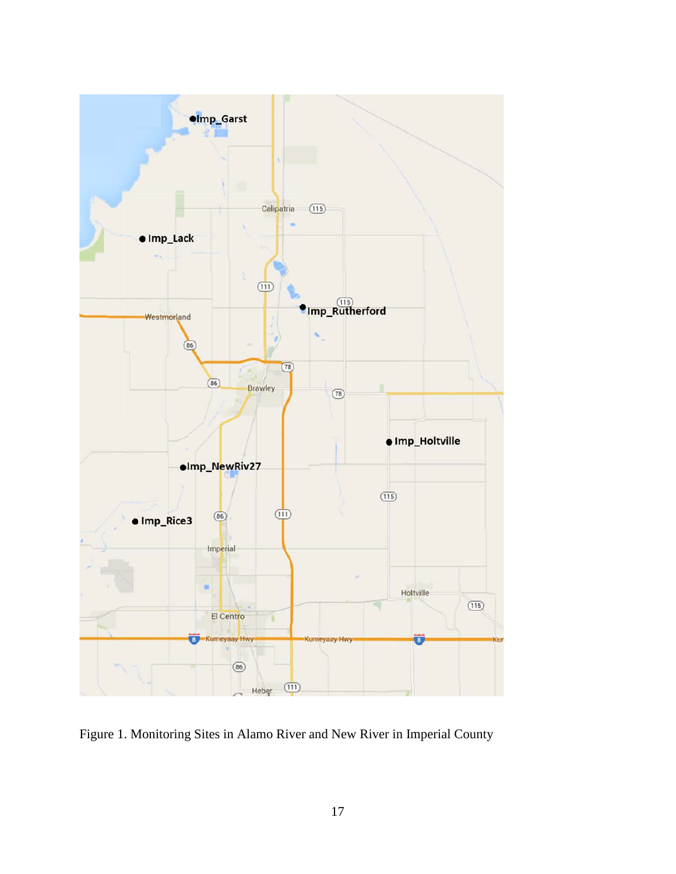

Figure 1. Monitoring Sites in Alamo River and New River in Imperial County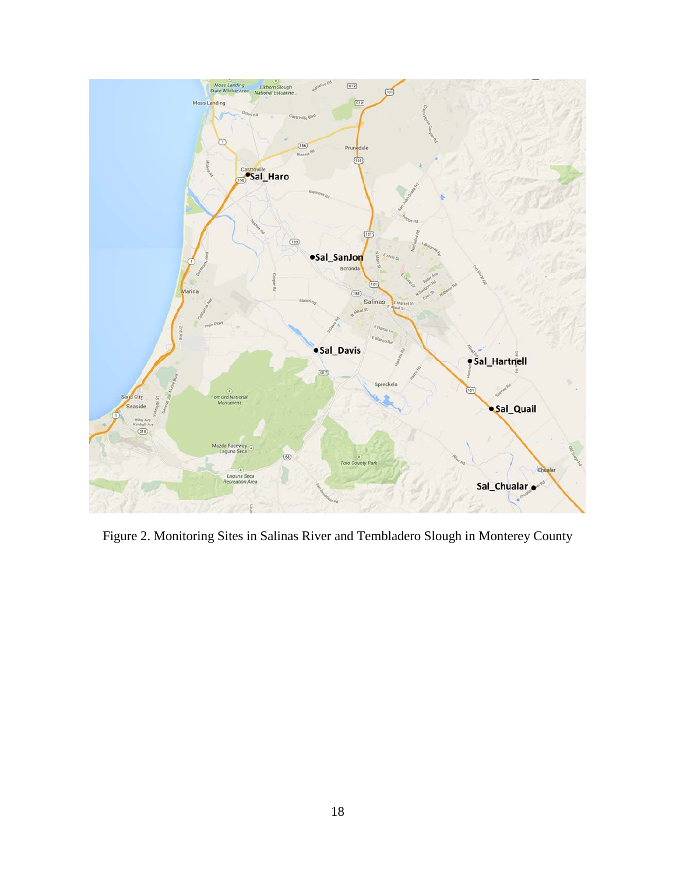

Figure 2. Monitoring Sites in Salinas River and Tembladero Slough in Monterey County